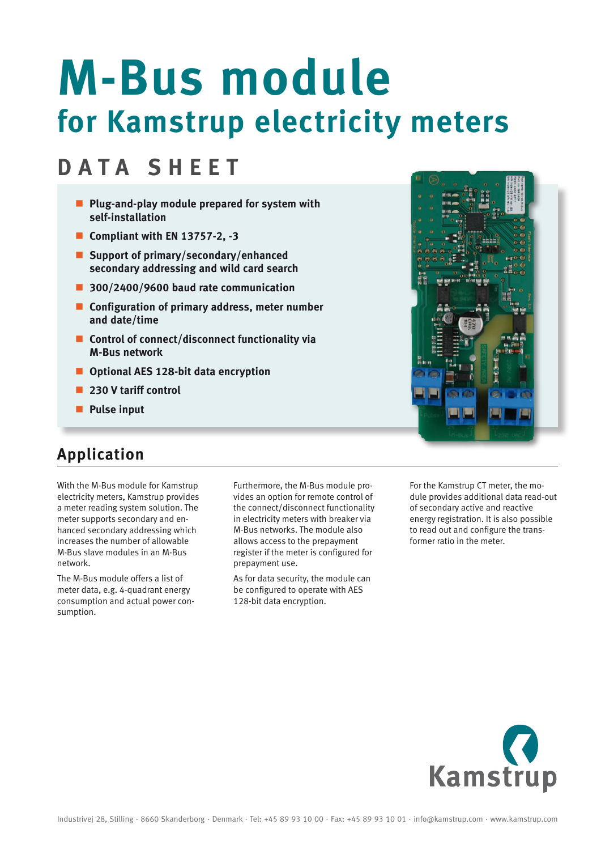# **M-Bus module for Kamstrup electricity meters**

# **DATA SHEET**

- **Plug-and-play module prepared for system with self-installation**
- Compliant with EN 13757-2, -3
- **Support of primary/secondary/enhanced secondary addressing and wild card search**
- **300/2400/9600 baud rate communication**
- **Configuration of primary address, meter number and date/time**
- **E** Control of connect/disconnect functionality via **M-Bus network**
- **Optional AES 128-bit data encryption**
- **230 V tariff control**
- **Pulse input**

#### **Application**

With the M-Bus module for Kamstrup electricity meters, Kamstrup provides a meter reading system solution. The meter supports secondary and enhanced secondary addressing which increases the number of allowable M-Bus slave modules in an M-Bus network.

The M-Bus module offers a list of meter data, e.g. 4-quadrant energy consumption and actual power consumption.

Furthermore, the M-Bus module provides an option for remote control of the connect/disconnect functionality in electricity meters with breaker via M-Bus networks. The module also allows access to the prepayment register if the meter is configured for prepayment use.

As for data security, the module can be configured to operate with AES 128-bit data encryption.

For the Kamstrup CT meter, the module provides additional data read-out of secondary active and reactive energy registration. It is also possible to read out and configure the transformer ratio in the meter.



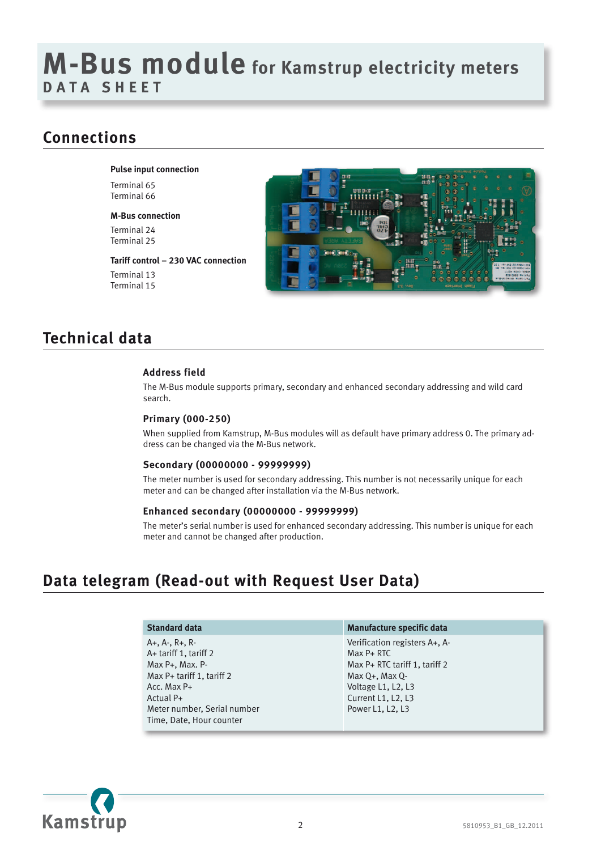# **M-Bus module for Kamstrup electricity meters D A ta sheet**

#### **Connections**

**Pulse input connection**

Terminal 65 Terminal 66

**M-Bus connection** Terminal 24 Terminal 25

**Tariff control – 230 VAC connection** Terminal 13 Terminal 15



## **Technical data**

#### **Address field**

The M-Bus module supports primary, secondary and enhanced secondary addressing and wild card search.

#### **Primary (000-250)**

When supplied from Kamstrup, M-Bus modules will as default have primary address 0. The primary address can be changed via the M-Bus network.

#### **Secondary (00000000 - 99999999)**

The meter number is used for secondary addressing. This number is not necessarily unique for each meter and can be changed after installation via the M-Bus network.

#### **Enhanced secondary (00000000 - 99999999)**

The meter's serial number is used for enhanced secondary addressing. This number is unique for each meter and cannot be changed after production.

#### **Data telegram (Read-out with Request User Data)**

| <b>Standard data</b>                                                                                                                                                                        | Manufacture specific data                                                                                                                                           |
|---------------------------------------------------------------------------------------------------------------------------------------------------------------------------------------------|---------------------------------------------------------------------------------------------------------------------------------------------------------------------|
| $A+$ , $A-$ , $R+$ , $R-$<br>A+ tariff 1, tariff 2<br>Max P+, Max. P-<br>Max P+ tariff 1, tariff 2<br>Acc. Max $P+$<br>Actual P+<br>Meter number, Serial number<br>Time, Date, Hour counter | Verification registers A+, A-<br>$Max P+ RTC$<br>Max P+ RTC tariff 1, tariff 2<br>$Max O+$ . Max O-<br>Voltage L1, L2, L3<br>Current L1, L2, L3<br>Power L1, L2, L3 |

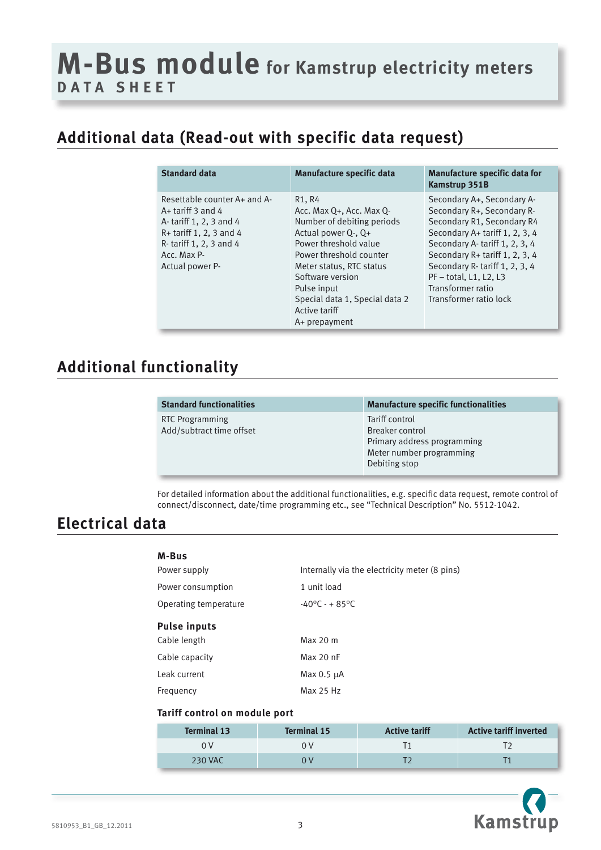# **M-Bus module for Kamstrup electricity meters D A ta sheet**

## **Additional data (Read-out with specific data request)**

| <b>Standard data</b>                                                                                                                                                   | Manufacture specific data                                                                                                                                                                                                                                                      | Manufacture specific data for<br><b>Kamstrup 351B</b>                                                                                                                                                                                                                                                    |
|------------------------------------------------------------------------------------------------------------------------------------------------------------------------|--------------------------------------------------------------------------------------------------------------------------------------------------------------------------------------------------------------------------------------------------------------------------------|----------------------------------------------------------------------------------------------------------------------------------------------------------------------------------------------------------------------------------------------------------------------------------------------------------|
| Resettable counter A+ and A-<br>$A+$ tariff 3 and 4<br>A-tariff 1, 2, 3 and 4<br>$R+$ tariff 1, 2, 3 and 4<br>R-tariff 1, 2, 3 and 4<br>Acc. Max P-<br>Actual power P- | R1, R4<br>Acc. Max Q+, Acc. Max Q-<br>Number of debiting periods<br>Actual power Q-, Q+<br>Power threshold value<br>Power threshold counter<br>Meter status, RTC status<br>Software version<br>Pulse input<br>Special data 1, Special data 2<br>Active tariff<br>A+ prepayment | Secondary A+, Secondary A-<br>Secondary R+, Secondary R-<br>Secondary R1, Secondary R4<br>Secondary A+ tariff 1, 2, 3, 4<br>Secondary A-tariff 1, 2, 3, 4<br>Secondary R+ tariff 1, 2, 3, 4<br>Secondary R-tariff 1, 2, 3, 4<br>$PF - total$ , L1, L2, L3<br>Transformer ratio<br>Transformer ratio lock |

#### **Additional functionality**

RTC Programming Add/subtract time offset

**Standard functionalities Manufacture specific functionalities** Tariff control Breaker control Primary address programming Meter number programming Debiting stop

For detailed information about the additional functionalities, e.g. specific data request, remote control of connect/disconnect, date/time programming etc., see "Technical Description" No. 5512-1042.

#### **Electrical data**

| M-Bus                 |                                               |
|-----------------------|-----------------------------------------------|
| Power supply          | Internally via the electricity meter (8 pins) |
| Power consumption     | 1 unit load                                   |
| Operating temperature | $-40^{\circ}$ C - + 85°C                      |
| <b>Pulse inputs</b>   |                                               |
| Cable length          | Max 20 m                                      |
| Cable capacity        | Max 20 nF                                     |
| Leak current          | Max $0.5 \mu A$                               |
| Frequency             | Max 25 Hz                                     |

#### **Tariff control on module port**

| <b>Terminal 13</b> | <b>Terminal 15</b> | <b>Active tariff</b> | <b>Active tariff inverted</b> |
|--------------------|--------------------|----------------------|-------------------------------|
|                    |                    |                      |                               |
| <b>230 VAC</b>     |                    |                      |                               |